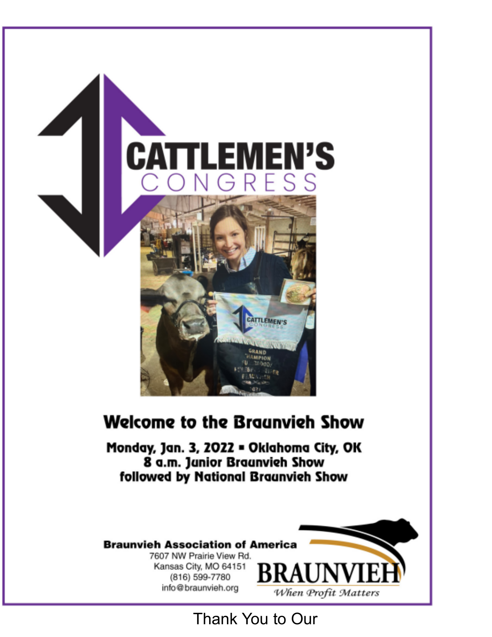

## **Welcome to the Braunvieh Show**

Monday, Jan. 3, 2022 . Oklahoma City, OK 8 a.m. Janior Braanvich Show followed by National Braunvieh Show

## **Braunvieh Association of America**

7607 NW Prairie View Rd. Kansas City, MO 64151 (816) 599-7780 info@braunvieh.org

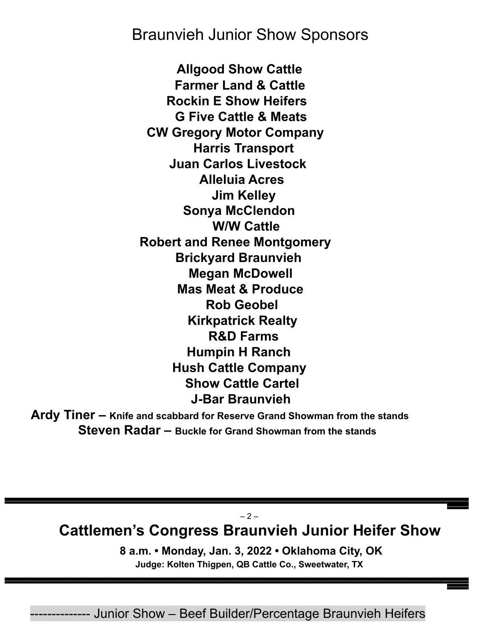## Braunvieh Junior Show Sponsors

**Allgood Show Cattle Farmer Land & Cattle Rockin E Show Heifers G Five Cattle & Meats CW Gregory Motor Company Harris Transport Juan Carlos Livestock Alleluia Acres Jim Kelley Sonya McClendon W/W Cattle Robert and Renee Montgomery Brickyard Braunvieh Megan McDowell Mas Meat & Produce Rob Geobel Kirkpatrick Realty R&D Farms Humpin H Ranch Hush Cattle Company Show Cattle Cartel J-Bar Braunvieh**

**Ardy Tiner – Knife and scabbard for Reserve Grand Showman from the stands Steven Radar – Buckle for Grand Showman from the stands**

 $-2-$ **Cattlemen's Congress Braunvieh Junior Heifer Show**

––––––––

––––––––

––––––––––––––––––––––––––––––––––––––––––––––––––––––––––––––––––––––––––––––––––––––––––––––––––––––––––––––––––––––––––––––––––––––––––––––––––––––––––––––––––––––––––––––

**8 a.m. • Monday, Jan. 3, 2022 • Oklahoma City, OK Judge: Kolten Thigpen, QB Cattle Co., Sweetwater, TX**

-------------- Junior Show – Beef Builder/Percentage Braunvieh Heifers

––––––––––––––––––––––––––––––––––––––––––––––––––––––––––––––––––––––––––––––––––––––––––––––––––––––––––––––––––––––––––––––––––––––––––––––––––––––––––––––––––––––––––––––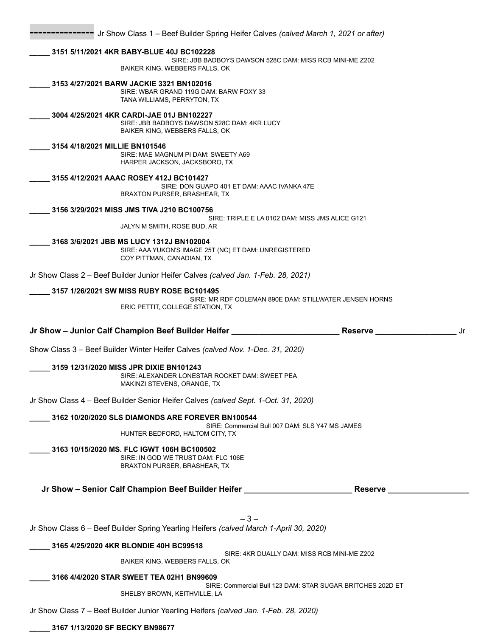|                                | Jr Show Class 1 - Beef Builder Spring Heifer Calves (calved March 1, 2021 or after)                                                     |    |
|--------------------------------|-----------------------------------------------------------------------------------------------------------------------------------------|----|
|                                | 3151 5/11/2021 4KR BABY-BLUE 40J BC102228<br>SIRE: JBB BADBOYS DAWSON 528C DAM: MISS RCB MINI-ME Z202<br>BAIKER KING, WEBBERS FALLS, OK |    |
|                                | 3153 4/27/2021 BARW JACKIE 3321 BN102016<br>SIRE: WBAR GRAND 119G DAM: BARW FOXY 33<br>TANA WILLIAMS, PERRYTON, TX                      |    |
|                                | 3004 4/25/2021 4KR CARDI-JAE 01J BN102227<br>SIRE: JBB BADBOYS DAWSON 528C DAM: 4KR LUCY<br>BAIKER KING, WEBBERS FALLS, OK              |    |
| 3154 4/18/2021 MILLIE BN101546 | SIRE: MAE MAGNUM PI DAM: SWEETY A69<br>HARPER JACKSON, JACKSBORO, TX                                                                    |    |
|                                | 3155 4/12/2021 AAAC ROSEY 412J BC101427<br>SIRE: DON GUAPO 401 ET DAM: AAAC IVANKA 47E<br><b>BRAXTON PURSER, BRASHEAR, TX</b>           |    |
|                                | 3156 3/29/2021 MISS JMS TIVA J210 BC100756                                                                                              |    |
|                                | SIRE: TRIPLE E LA 0102 DAM: MISS JMS ALICE G121<br>JALYN M SMITH, ROSE BUD, AR                                                          |    |
|                                | 3168 3/6/2021 JBB MS LUCY 1312J BN102004<br>SIRE: AAA YUKON'S IMAGE 25T (NC) ET DAM: UNREGISTERED<br>COY PITTMAN, CANADIAN, TX          |    |
|                                | Jr Show Class 2 - Beef Builder Junior Heifer Calves (calved Jan. 1-Feb. 28, 2021)                                                       |    |
|                                | 3157 1/26/2021 SW MISS RUBY ROSE BC101495<br>SIRE: MR RDF COLEMAN 890E DAM: STILLWATER JENSEN HORNS<br>ERIC PETTIT, COLLEGE STATION, TX |    |
|                                |                                                                                                                                         |    |
|                                | Jr Show - Junior Calf Champion Beef Builder Heifer ____<br>Reserve                                                                      | Jr |
|                                | Show Class 3 - Beef Builder Winter Heifer Calves (calved Nov. 1-Dec. 31, 2020)                                                          |    |
|                                | 3159 12/31/2020 MISS JPR DIXIE BN101243<br>SIRE: ALEXANDER LONESTAR ROCKET DAM: SWEET PEA<br>MAKINZI STEVENS, ORANGE, TX                |    |
|                                | Jr Show Class 4 - Beef Builder Senior Heifer Calves (calved Sept. 1-Oct. 31, 2020)                                                      |    |
|                                | 3162 10/20/2020 SLS DIAMONDS ARE FOREVER BN100544<br>SIRE: Commercial Bull 007 DAM: SLS Y47 MS JAMES                                    |    |
|                                | HUNTER BEDFORD, HALTOM CITY, TX                                                                                                         |    |
|                                | 3163 10/15/2020 MS. FLC IGWT 106H BC100502<br>SIRE: IN GOD WE TRUST DAM: FLC 106E<br>BRAXTON PURSER, BRASHEAR, TX                       |    |
|                                | Jr Show - Senior Calf Champion Beef Builder Heifer _____________________________<br><b>Reserve</b>                                      |    |
|                                |                                                                                                                                         |    |
|                                | $-3-$<br>Jr Show Class 6 - Beef Builder Spring Yearling Heifers (calved March 1-April 30, 2020)                                         |    |
|                                | 3165 4/25/2020 4KR BLONDIE 40H BC99518                                                                                                  |    |
|                                | SIRE: 4KR DUALLY DAM: MISS RCB MINI-ME Z202<br>BAIKER KING, WEBBERS FALLS, OK                                                           |    |
|                                | 3166 4/4/2020 STAR SWEET TEA 02H1 BN99609                                                                                               |    |
|                                | SIRE: Commercial Bull 123 DAM: STAR SUGAR BRITCHES 202D ET<br>SHELBY BROWN, KEITHVILLE, LA                                              |    |

**\_\_\_\_\_ 3167 1/13/2020 SF BECKY BN98677**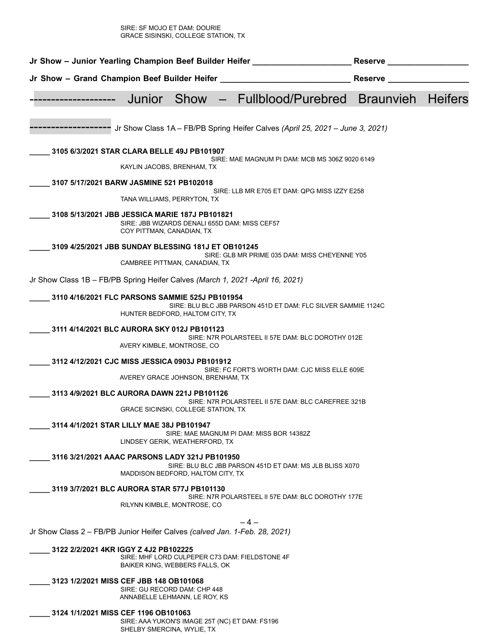SIRE: SF MOJO ET DAM: DOURIE GRACE SISINSKI, COLLEGE STATION, TX

| Jr Show - Junior Yearling Champion Beef Builder Heifer                         |                            |                                                               | <b>Reserve</b>                                                                |                  |                |
|--------------------------------------------------------------------------------|----------------------------|---------------------------------------------------------------|-------------------------------------------------------------------------------|------------------|----------------|
| Jr Show - Grand Champion Beef Builder Heifer _                                 |                            |                                                               |                                                                               | <b>Reserve</b>   |                |
|                                                                                | Junior                     | Show                                                          | Fullblood/Purebred                                                            | <b>Braunvieh</b> | <b>Heifers</b> |
|                                                                                |                            |                                                               | Jr Show Class 1A - FB/PB Spring Heifer Calves (April 25, 2021 - June 3, 2021) |                  |                |
| 3105 6/3/2021 STAR CLARA BELLE 49J PB101907                                    |                            |                                                               | SIRE: MAE MAGNUM PI DAM: MCB MS 306Z 9020 6149                                |                  |                |
|                                                                                | KAYLIN JACOBS, BRENHAM, TX |                                                               |                                                                               |                  |                |
| 3107 5/17/2021 BARW JASMINE 521 PB102018                                       |                            | TANA WILLIAMS, PERRYTON, TX                                   | SIRE: LLB MR E705 ET DAM: QPG MISS IZZY E258                                  |                  |                |
| 3108 5/13/2021 JBB JESSICA MARIE 187J PB101821                                 | COY PITTMAN, CANADIAN, TX  | SIRE: JBB WIZARDS DENALI 655D DAM: MISS CEF57                 |                                                                               |                  |                |
| 3109 4/25/2021 JBB SUNDAY BLESSING 181J ET OB101245                            |                            |                                                               |                                                                               |                  |                |
|                                                                                |                            | CAMBREE PITTMAN, CANADIAN, TX                                 | SIRE: GLB MR PRIME 035 DAM: MISS CHEYENNE Y05                                 |                  |                |
| Jr Show Class 1B - FB/PB Spring Heifer Calves (March 1, 2021 - April 16, 2021) |                            |                                                               |                                                                               |                  |                |
| 3110 4/16/2021 FLC PARSONS SAMMIE 525J PB101954                                |                            | HUNTER BEDFORD, HALTOM CITY, TX                               | SIRE: BLU BLC JBB PARSON 451D ET DAM: FLC SILVER SAMMIE 1124C                 |                  |                |
| 3111 4/14/2021 BLC AURORA SKY 012J PB101123                                    |                            |                                                               |                                                                               |                  |                |
|                                                                                | AVERY KIMBLE, MONTROSE, CO |                                                               | SIRE: N7R POLARSTEEL II 57E DAM: BLC DOROTHY 012E                             |                  |                |
| 3112 4/12/2021 CJC MISS JESSICA 0903J PB101912                                 |                            | AVEREY GRACE JOHNSON, BRENHAM, TX                             | SIRE: FC FORT'S WORTH DAM: CJC MISS ELLE 609E                                 |                  |                |
| 3113 4/9/2021 BLC AURORA DAWN 221J PB101126                                    |                            | <b>GRACE SICINSKI, COLLEGE STATION, TX</b>                    | SIRE: N7R POLARSTEEL II 57E DAM: BLC CAREFREE 321B                            |                  |                |
| 3114 4/1/2021 STAR LILLY MAE 38J PB101947                                      |                            | LINDSEY GERIK, WEATHERFORD, TX                                | SIRE: MAE MAGNUM PI DAM: MISS BOR 14382Z                                      |                  |                |
| 3116 3/21/2021 AAAC PARSONS LADY 321J PB101950                                 |                            | MADDISON BEDFORD, HALTOM CITY, TX                             | SIRE: BLU BLC JBB PARSON 451D ET DAM: MS JLB BLISS X070                       |                  |                |
| 3119 3/7/2021 BLC AURORA STAR 577J PB101130                                    |                            |                                                               |                                                                               |                  |                |
|                                                                                |                            | RILYNN KIMBLE, MONTROSE, CO                                   | SIRE: N7R POLARSTEEL II 57E DAM: BLC DOROTHY 177E                             |                  |                |
|                                                                                |                            |                                                               | – 4 –                                                                         |                  |                |
| Jr Show Class 2 - FB/PB Junior Heifer Calves (calved Jan. 1-Feb. 28, 2021)     |                            |                                                               |                                                                               |                  |                |
| 3122 2/2/2021 4KR IGGY Z 4J2 PB102225                                          |                            | BAIKER KING, WEBBERS FALLS, OK                                | SIRE: MHF LORD CULPEPER C73 DAM: FIELDSTONE 4F                                |                  |                |
| 3123 1/2/2021 MISS CEF JBB 148 OB101068                                        |                            | SIRE: GU RECORD DAM: CHP 448<br>ANNABELLE LEHMANN, LE ROY, KS |                                                                               |                  |                |
| 3124 1/1/2021 MISS CEF 1196 OB101063                                           |                            |                                                               |                                                                               |                  |                |

SIRE: AAA YUKON'S IMAGE 25T (NC) ET DAM: FS196 SHELBY SMERCINA, WYLIE, TX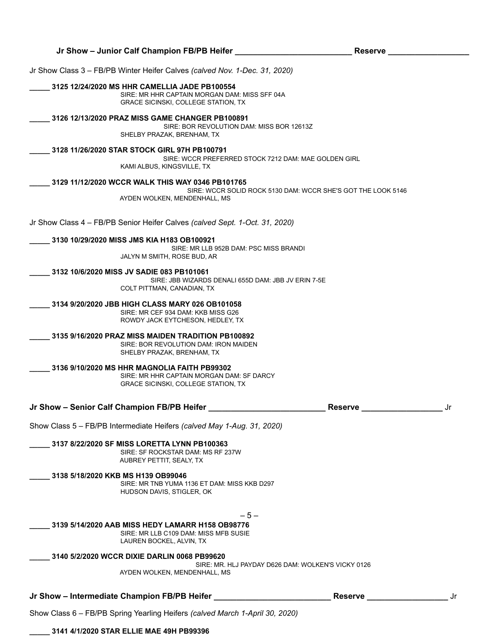| Jr Show - Intermediate Champion FB/PB Heifer                                                                                                 | <b>Reserve</b>                                               |    |
|----------------------------------------------------------------------------------------------------------------------------------------------|--------------------------------------------------------------|----|
| 3140 5/2/2020 WCCR DIXIE DARLIN 0068 PB99620<br>AYDEN WOLKEN, MENDENHALL, MS                                                                 | SIRE: MR. HLJ PAYDAY D626 DAM: WOLKEN'S VICKY 0126           |    |
| - 5 -<br>3139 5/14/2020 AAB MISS HEDY LAMARR H158 OB98776<br>SIRE: MR LLB C109 DAM: MISS MFB SUSIE<br>LAUREN BOCKEL, ALVIN, TX               |                                                              |    |
| 3138 5/18/2020 KKB MS H139 OB99046<br>SIRE: MR TNB YUMA 1136 ET DAM: MISS KKB D297<br>HUDSON DAVIS, STIGLER, OK                              |                                                              |    |
| 3137 8/22/2020 SF MISS LORETTA LYNN PB100363<br>SIRE: SF ROCKSTAR DAM: MS RF 237W<br>AUBREY PETTIT, SEALY, TX                                |                                                              |    |
| Show Class 5 - FB/PB Intermediate Heifers (calved May 1-Aug. 31, 2020)                                                                       |                                                              |    |
| Jr Show - Senior Calf Champion FB/PB Heifer                                                                                                  | <b>Reserve</b>                                               | Jr |
| 3136 9/10/2020 MS HHR MAGNOLIA FAITH PB99302<br>SIRE: MR HHR CAPTAIN MORGAN DAM: SF DARCY<br><b>GRACE SICINSKI, COLLEGE STATION, TX</b>      |                                                              |    |
| 3135 9/16/2020 PRAZ MISS MAIDEN TRADITION PB100892<br>SIRE: BOR REVOLUTION DAM: IRON MAIDEN<br>SHELBY PRAZAK, BRENHAM, TX                    |                                                              |    |
| 3134 9/20/2020 JBB HIGH CLASS MARY 026 OB101058<br>SIRE: MR CEF 934 DAM: KKB MISS G26<br>ROWDY JACK EYTCHESON, HEDLEY, TX                    |                                                              |    |
| 3132 10/6/2020 MISS JV SADIE 083 PB101061<br>SIRE: JBB WIZARDS DENALI 655D DAM: JBB JV ERIN 7-5E<br>COLT PITTMAN, CANADIAN, TX               |                                                              |    |
| 3130 10/29/2020 MISS JMS KIA H183 OB100921<br>SIRE: MR LLB 952B DAM: PSC MISS BRANDI<br>JALYN M SMITH, ROSE BUD, AR                          |                                                              |    |
| Jr Show Class 4 - FB/PB Senior Heifer Calves (calved Sept. 1-Oct. 31, 2020)                                                                  |                                                              |    |
|                                                                                                                                              |                                                              |    |
| 3129 11/12/2020 WCCR WALK THIS WAY 0346 PB101765<br>AYDEN WOLKEN, MENDENHALL, MS                                                             | SIRE: WCCR SOLID ROCK 5130 DAM: WCCR SHE'S GOT THE LOOK 5146 |    |
| 3128 11/26/2020 STAR STOCK GIRL 97H PB100791<br>SIRE: WCCR PREFERRED STOCK 7212 DAM: MAE GOLDEN GIRL<br>KAMI ALBUS, KINGSVILLE, TX           |                                                              |    |
| 3126 12/13/2020 PRAZ MISS GAME CHANGER PB100891<br>SIRE: BOR REVOLUTION DAM: MISS BOR 12613Z<br>SHELBY PRAZAK, BRENHAM, TX                   |                                                              |    |
| 3125 12/24/2020 MS HHR CAMELLIA JADE PB100554<br>SIRE: MR HHR CAPTAIN MORGAN DAM: MISS SFF 04A<br><b>GRACE SICINSKI, COLLEGE STATION, TX</b> |                                                              |    |
|                                                                                                                                              |                                                              |    |

**Jr Show – Junior Calf Champion FB/PB Heifer \_\_\_\_\_\_\_\_\_\_\_\_\_\_\_\_\_\_\_\_\_\_\_\_\_\_ Reserve \_\_\_\_\_\_\_\_\_\_\_\_\_\_\_\_\_\_**

Show Class 6 – FB/PB Spring Yearling Heifers *(calved March 1-April 30, 2020)*

**\_\_\_\_\_ 3141 4/1/2020 STAR ELLIE MAE 49H PB99396**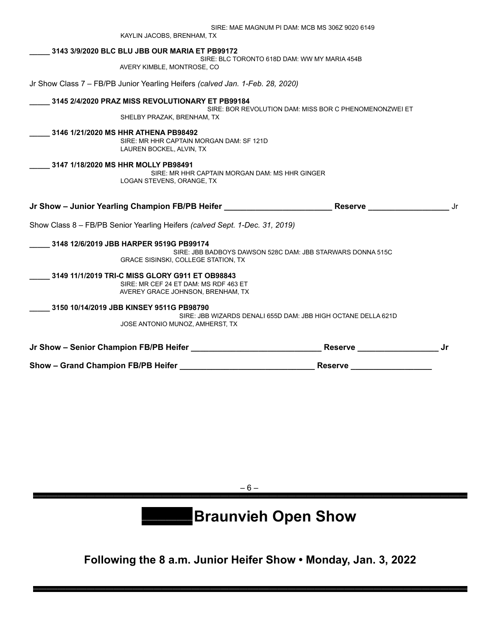|                                     |                                                                                                                               |                                                               | <b>Reserve</b>                |     |
|-------------------------------------|-------------------------------------------------------------------------------------------------------------------------------|---------------------------------------------------------------|-------------------------------|-----|
|                                     |                                                                                                                               |                                                               | Reserve _____________________ | .Jr |
|                                     | 3150 10/14/2019 JBB KINSEY 9511G PB98790<br>JOSE ANTONIO MUNOZ, AMHERST, TX                                                   | SIRE: JBB WIZARDS DENALI 655D DAM: JBB HIGH OCTANE DELLA 621D |                               |     |
|                                     | 3149 11/1/2019 TRI-C MISS GLORY G911 ET OB98843<br>SIRE: MR CEF 24 ET DAM: MS RDF 463 ET<br>AVEREY GRACE JOHNSON, BRENHAM, TX |                                                               |                               |     |
|                                     | 3148 12/6/2019 JBB HARPER 9519G PB99174<br><b>GRACE SISINSKI, COLLEGE STATION, TX</b>                                         | SIRE: JBB BADBOYS DAWSON 528C DAM: JBB STARWARS DONNA 515C    |                               |     |
|                                     | Show Class 8 - FB/PB Senior Yearling Heifers (calved Sept. 1-Dec. 31, 2019)                                                   |                                                               |                               |     |
|                                     |                                                                                                                               | Jr Show – Junior Yearling Champion FB/PB Heifer               | Reserve ___________________   | Jr. |
| 3147 1/18/2020 MS HHR MOLLY PB98491 | LOGAN STEVENS, ORANGE, TX                                                                                                     | SIRE: MR HHR CAPTAIN MORGAN DAM: MS HHR GINGER                |                               |     |
|                                     | 3146 1/21/2020 MS HHR ATHENA PB98492<br>SIRE: MR HHR CAPTAIN MORGAN DAM: SF 121D<br>LAUREN BOCKEL, ALVIN, TX                  |                                                               |                               |     |
|                                     | 3145 2/4/2020 PRAZ MISS REVOLUTIONARY ET PB99184<br>SHELBY PRAZAK, BRENHAM, TX                                                | SIRE: BOR REVOLUTION DAM: MISS BOR C PHENOMENONZWEI ET        |                               |     |
|                                     | Jr Show Class 7 - FB/PB Junior Yearling Heifers (calved Jan. 1-Feb. 28, 2020)                                                 |                                                               |                               |     |
|                                     | 3143 3/9/2020 BLC BLU JBB OUR MARIA ET PB99172<br>AVERY KIMBLE, MONTROSE, CO                                                  | SIRE: BLC TORONTO 618D DAM: WW MY MARIA 454B                  |                               |     |
|                                     |                                                                                                                               |                                                               |                               |     |
|                                     | KAYLIN JACOBS, BRENHAM, TX                                                                                                    | SIRE: MAE MAGNUM PI DAM: MCB MS 306Z 9020 6149                |                               |     |

– 6 – –––––––––––––––––––––––––––––––––––––––––––––––––––––––––––––––––––––––––––––––––––––––––––––––––––––––––––––––––––––––––––––––––––––––––––––––––––––––––––––––––––

# –––––––––––––––––––**Braunvieh Open Show**

**Following the 8 a.m. Junior Heifer Show • Monday, Jan. 3, 2022**

–––––––––––––––––––––––––––––––––––––––––––––––––––––––––––––––––––––––––––––––––––––––––––––––––––––––––––––––––––––––––––––––––––––––––––––––––––––––––––––––––––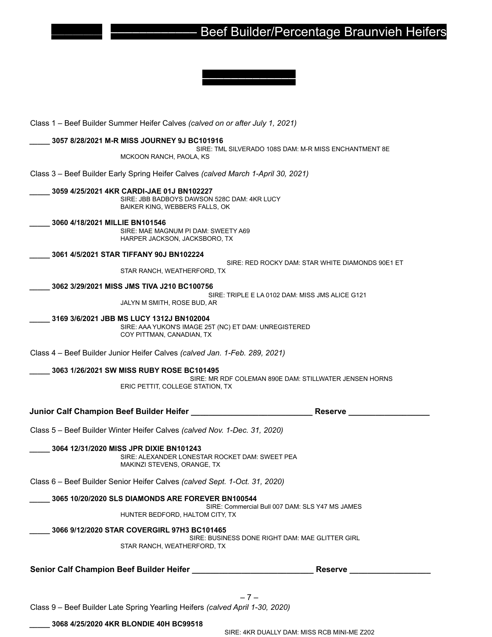## ––––––––––––––––––– ––––––––––––– Beef Builder/Percentage Braunvieh Heifers

Class 1 – Beef Builder Summer Heifer Calves *(calved on or after July 1, 2021)* **\_\_\_\_\_ 3057 8/28/2021 M-R MISS JOURNEY 9J BC101916** SIRE: TML SILVERADO 108S DAM: M-R MISS ENCHANTMENT 8E MCKOON RANCH, PAOLA, KS Class 3 – Beef Builder Early Spring Heifer Calves *(calved March 1-April 30, 2021)* **\_\_\_\_\_ 3059 4/25/2021 4KR CARDI-JAE 01J BN102227** SIRE: JBB BADBOYS DAWSON 528C DAM: 4KR LUCY BAIKER KING, WEBBERS FALLS, OK **\_\_\_\_\_ 3060 4/18/2021 MILLIE BN101546** SIRE: MAE MAGNUM PI DAM: SWEETY A69 HARPER JACKSON, JACKSBORO, TX **\_\_\_\_\_ 3061 4/5/2021 STAR TIFFANY 90J BN102224** SIRE: RED ROCKY DAM: STAR WHITE DIAMONDS 90E1 ET STAR RANCH, WEATHERFORD, TX **\_\_\_\_\_ 3062 3/29/2021 MISS JMS TIVA J210 BC100756** SIRE: TRIPLE E LA 0102 DAM: MISS JMS ALICE G121 JALYN M SMITH, ROSE BUD, AR **\_\_\_\_\_ 3169 3/6/2021 JBB MS LUCY 1312J BN102004** SIRE: AAA YUKON'S IMAGE 25T (NC) ET DAM: UNREGISTERED COY PITTMAN, CANADIAN, TX Class 4 – Beef Builder Junior Heifer Calves *(calved Jan. 1-Feb. 289, 2021)* **\_\_\_\_\_ 3063 1/26/2021 SW MISS RUBY ROSE BC101495** SIRE: MR RDF COLEMAN 890E DAM: STILLWATER JENSEN HORNS ERIC PETTIT, COLLEGE STATION, TX **Junior Calf Champion Beef Builder Heifer \_\_\_\_\_\_\_\_\_\_\_\_\_\_\_\_\_\_\_\_\_\_\_\_\_\_\_ Reserve \_\_\_\_\_\_\_\_\_\_\_\_\_\_\_\_\_\_** Class 5 – Beef Builder Winter Heifer Calves *(calved Nov. 1-Dec. 31, 2020)* **\_\_\_\_\_ 3064 12/31/2020 MISS JPR DIXIE BN101243** SIRE: ALEXANDER LONESTAR ROCKET DAM: SWEET PEA MAKINZI STEVENS, ORANGE, TX Class 6 – Beef Builder Senior Heifer Calves *(calved Sept. 1-Oct. 31, 2020)* **\_\_\_\_\_ 3065 10/20/2020 SLS DIAMONDS ARE FOREVER BN100544** SIRE: Commercial Bull 007 DAM: SLS Y47 MS JAMES HUNTER BEDFORD, HALTOM CITY, TX **\_\_\_\_\_ 3066 9/12/2020 STAR COVERGIRL 97H3 BC101465** SIRE: BUSINESS DONE RIGHT DAM: MAE GLITTER GIRL STAR RANCH, WEATHERFORD, TX **Senior Calf Champion Beef Builder Heifer \_\_\_\_\_\_\_\_\_\_\_\_\_\_\_\_\_\_\_\_\_\_\_\_\_\_\_ Reserve \_\_\_\_\_\_\_\_\_\_\_\_\_\_\_\_\_\_** – 7 – Class 9 – Beef Builder Late Spring Yearling Heifers *(calved April 1-30, 2020)*

–––––––––––––

**\_\_\_\_\_ 3068 4/25/2020 4KR BLONDIE 40H BC99518**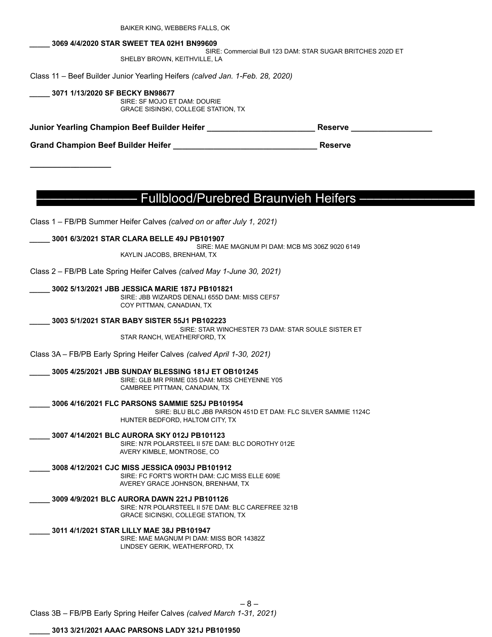BAIKER KING, WEBBERS FALLS, OK

#### **\_\_\_\_\_ 3069 4/4/2020 STAR SWEET TEA 02H1 BN99609**

SIRE: Commercial Bull 123 DAM: STAR SUGAR BRITCHES 202D ET SHELBY BROWN, KEITHVILLE, LA

Class 11 – Beef Builder Junior Yearling Heifers *(calved Jan. 1-Feb. 28, 2020)*

**\_\_\_\_\_ 3071 1/13/2020 SF BECKY BN98677** SIRE: SF MOJO ET DAM: DOURIE GRACE SISINSKI, COLLEGE STATION, TX

**Junior Yearling Champion Beef Builder Heifer \_\_\_\_\_\_\_\_\_\_\_\_\_\_\_\_\_\_\_\_\_\_\_\_ Reserve \_\_\_\_\_\_\_\_\_\_\_\_\_\_\_\_\_\_**

**Grand Champion Beef Builder Heifer \_\_\_\_\_\_\_\_\_\_\_\_\_\_\_\_\_\_\_\_\_\_\_\_\_\_\_\_\_\_\_\_ Reserve**

### ––––––––––––––– Fullblood/Purebred Braunvieh Heifers ––––––––––––––––

Class 1 – FB/PB Summer Heifer Calves *(calved on or after July 1, 2021)*

**\_\_\_\_\_ 3001 6/3/2021 STAR CLARA BELLE 49J PB101907**

**\_\_\_\_\_\_\_\_\_\_\_\_\_\_\_\_\_\_**

SIRE: MAE MAGNUM PI DAM: MCB MS 306Z 9020 6149 KAYLIN JACOBS, BRENHAM, TX

Class 2 – FB/PB Late Spring Heifer Calves *(calved May 1-June 30, 2021)*

**\_\_\_\_\_ 3002 5/13/2021 JBB JESSICA MARIE 187J PB101821**

SIRE: JBB WIZARDS DENALI 655D DAM: MISS CEF57 COY PITTMAN, CANADIAN, TX

**\_\_\_\_\_ 3003 5/1/2021 STAR BABY SISTER 55J1 PB102223**

SIRE: STAR WINCHESTER 73 DAM: STAR SOULE SISTER ET STAR RANCH, WEATHERFORD, TX

Class 3A – FB/PB Early Spring Heifer Calves *(calved April 1-30, 2021)*

**\_\_\_\_\_ 3005 4/25/2021 JBB SUNDAY BLESSING 181J ET OB101245**

SIRE: GLB MR PRIME 035 DAM: MISS CHEYENNE Y05 CAMBREE PITTMAN, CANADIAN, TX

**\_\_\_\_\_ 3006 4/16/2021 FLC PARSONS SAMMIE 525J PB101954**

SIRE: BLU BLC JBB PARSON 451D ET DAM: FLC SILVER SAMMIE 1124C HUNTER BEDFORD, HALTOM CITY, TX

– 8 –

**\_\_\_\_\_ 3007 4/14/2021 BLC AURORA SKY 012J PB101123**

SIRE: N7R POLARSTEEL II 57E DAM: BLC DOROTHY 012E AVERY KIMBLE, MONTROSE, CO

**\_\_\_\_\_ 3008 4/12/2021 CJC MISS JESSICA 0903J PB101912**

SIRE: FC FORT'S WORTH DAM: CJC MISS ELLE 609E AVEREY GRACE JOHNSON, BRENHAM, TX

**\_\_\_\_\_ 3009 4/9/2021 BLC AURORA DAWN 221J PB101126**

SIRE: N7R POLARSTEEL II 57E DAM: BLC CAREFREE 321B GRACE SICINSKI, COLLEGE STATION, TX

**\_\_\_\_\_ 3011 4/1/2021 STAR LILLY MAE 38J PB101947** SIRE: MAE MAGNUM PI DAM: MISS BOR 14382Z LINDSEY GERIK, WEATHERFORD, TX

Class 3B – FB/PB Early Spring Heifer Calves *(calved March 1-31, 2021)*

**\_\_\_\_\_ 3013 3/21/2021 AAAC PARSONS LADY 321J PB101950**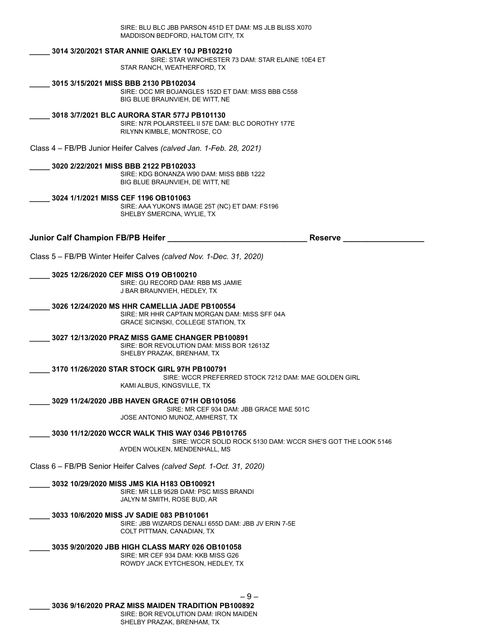SIRE: BLU BLC JBB PARSON 451D ET DAM: MS JLB BLISS X070 MADDISON BEDFORD, HALTOM CITY, TX

#### **\_\_\_\_\_ 3014 3/20/2021 STAR ANNIE OAKLEY 10J PB102210**

SIRE: STAR WINCHESTER 73 DAM: STAR ELAINE 10E4 ET STAR RANCH, WEATHERFORD, TX

**\_\_\_\_\_ 3015 3/15/2021 MISS BBB 2130 PB102034**

SIRE: OCC MR BOJANGLES 152D ET DAM: MISS BBB C558 BIG BLUE BRAUNVIEH, DE WITT, NE

#### **\_\_\_\_\_ 3018 3/7/2021 BLC AURORA STAR 577J PB101130**

SIRE: N7R POLARSTEEL II 57E DAM: BLC DOROTHY 177E RILYNN KIMBLE, MONTROSE, CO

Class 4 – FB/PB Junior Heifer Calves *(calved Jan. 1-Feb. 28, 2021)*

#### **\_\_\_\_\_ 3020 2/22/2021 MISS BBB 2122 PB102033**

SIRE: KDG BONANZA W90 DAM: MISS BBB 1222 BIG BLUE BRAUNVIEH, DE WITT, NE

#### **\_\_\_\_\_ 3024 1/1/2021 MISS CEF 1196 OB101063**

SIRE: AAA YUKON'S IMAGE 25T (NC) ET DAM: FS196 SHELBY SMERCINA, WYLIE, TX

**Junior Calf Champion FB/PB Heifer \_\_\_\_\_\_\_\_\_\_\_\_\_\_\_\_\_\_\_\_\_\_\_\_\_\_\_\_\_\_\_ Reserve \_\_\_\_\_\_\_\_\_\_\_\_\_\_\_\_\_\_**

Class 5 – FB/PB Winter Heifer Calves *(calved Nov. 1-Dec. 31, 2020)*

#### **\_\_\_\_\_ 3025 12/26/2020 CEF MISS O19 OB100210**

SIRE: GU RECORD DAM: RBB MS JAMIE J BAR BRAUNVIEH, HEDLEY, TX

**\_\_\_\_\_ 3026 12/24/2020 MS HHR CAMELLIA JADE PB100554**

SIRE: MR HHR CAPTAIN MORGAN DAM: MISS SFF 04A GRACE SICINSKI, COLLEGE STATION, TX

#### **\_\_\_\_\_ 3027 12/13/2020 PRAZ MISS GAME CHANGER PB100891**

SIRE: BOR REVOLUTION DAM: MISS BOR 12613Z SHELBY PRAZAK, BRENHAM, TX

#### **\_\_\_\_\_ 3170 11/26/2020 STAR STOCK GIRL 97H PB100791**

SIRE: WCCR PREFERRED STOCK 7212 DAM: MAE GOLDEN GIRL KAMI ALBUS, KINGSVILLE, TX

**\_\_\_\_\_ 3029 11/24/2020 JBB HAVEN GRACE 071H OB101056**

SIRE: MR CEF 934 DAM: JBB GRACE MAE 501C JOSE ANTONIO MUNOZ, AMHERST, TX

**\_\_\_\_\_ 3030 11/12/2020 WCCR WALK THIS WAY 0346 PB101765**

SIRE: WCCR SOLID ROCK 5130 DAM: WCCR SHE'S GOT THE LOOK 5146 AYDEN WOLKEN, MENDENHALL, MS

Class 6 – FB/PB Senior Heifer Calves *(calved Sept. 1-Oct. 31, 2020)*

**\_\_\_\_\_ 3032 10/29/2020 MISS JMS KIA H183 OB100921**

SIRE: MR LLB 952B DAM: PSC MISS BRANDI JALYN M SMITH, ROSE BUD, AR

**\_\_\_\_\_ 3033 10/6/2020 MISS JV SADIE 083 PB101061**

SIRE: JBB WIZARDS DENALI 655D DAM: JBB JV ERIN 7-5E COLT PITTMAN, CANADIAN, TX

#### **\_\_\_\_\_ 3035 9/20/2020 JBB HIGH CLASS MARY 026 OB101058**

SIRE: MR CEF 934 DAM: KKB MISS G26 ROWDY JACK EYTCHESON, HEDLEY, TX

– 9 –

**\_\_\_\_\_ 3036 9/16/2020 PRAZ MISS MAIDEN TRADITION PB100892**

SIRE: BOR REVOLUTION DAM: IRON MAIDEN SHELBY PRAZAK, BRENHAM, TX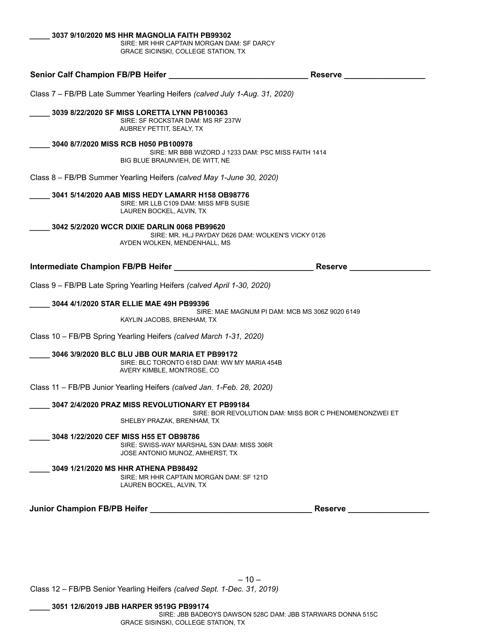| SIRE: MR HHR CAPTAIN MORGAN DAM: SF DARCY<br><b>GRACE SICINSKI, COLLEGE STATION, TX</b>                       |                                                     |
|---------------------------------------------------------------------------------------------------------------|-----------------------------------------------------|
| Senior Calf Champion FB/PB Heifer                                                                             | Reserve                                             |
| Class 7 - FB/PB Late Summer Yearling Heifers (calved July 1-Aug. 31, 2020)                                    |                                                     |
| 3039 8/22/2020 SF MISS LORETTA LYNN PB100363<br>SIRE: SF ROCKSTAR DAM: MS RF 237W<br>AUBREY PETTIT, SEALY, TX |                                                     |
| 3040 8/7/2020 MISS RCB H050 PB100978<br>BIG BLUE BRAUNVIEH. DE WITT. NE                                       | SIRE: MR BBB WIZORD J 1233 DAM: PSC MISS FAITH 1414 |
| Class 8 – FB/PB Summer Yearling Heifers (calved May 1-June 30, 2020)                                          |                                                     |

**\_\_\_\_\_ 3041 5/14/2020 AAB MISS HEDY LAMARR H158 OB98776** SIRE: MR LLB C109 DAM: MISS MFB SUSIE LAUREN BOCKEL, ALVIN, TX

**\_\_\_\_\_ 3042 5/2/2020 WCCR DIXIE DARLIN 0068 PB99620**

**\_\_\_\_\_ 3037 9/10/2020 MS HHR MAGNOLIA FAITH PB99302**

SIRE: MR. HLJ PAYDAY D626 DAM: WOLKEN'S VICKY 0126 AYDEN WOLKEN, MENDENHALL, MS

**Intermediate Champion FB/PB Heifer \_\_\_\_\_\_\_\_\_\_\_\_\_\_\_\_\_\_\_\_\_\_\_\_\_\_\_\_\_\_\_ Reserve \_\_\_\_\_\_\_\_\_\_\_\_\_\_\_\_\_\_**

Class 9 – FB/PB Late Spring Yearling Heifers *(calved April 1-30, 2020)*

**\_\_\_\_\_ 3044 4/1/2020 STAR ELLIE MAE 49H PB99396**

SIRE: MAE MAGNUM PI DAM: MCB MS 306Z 9020 6149 KAYLIN JACOBS, BRENHAM, TX

Class 10 – FB/PB Spring Yearling Heifers *(calved March 1-31, 2020)*

**\_\_\_\_\_ 3046 3/9/2020 BLC BLU JBB OUR MARIA ET PB99172** SIRE: BLC TORONTO 618D DAM: WW MY MARIA 454B

AVERY KIMBLE, MONTROSE, CO

Class 11 – FB/PB Junior Yearling Heifers *(calved Jan. 1-Feb. 28, 2020)*

**\_\_\_\_\_ 3047 2/4/2020 PRAZ MISS REVOLUTIONARY ET PB99184**

SIRE: BOR REVOLUTION DAM: MISS BOR C PHENOMENONZWEI ET SHELBY PRAZAK, BRENHAM, TX

**\_\_\_\_\_ 3048 1/22/2020 CEF MISS H55 ET OB98786** SIRE: SWISS-WAY MARSHAL 53N DAM: MISS 306R JOSE ANTONIO MUNOZ, AMHERST, TX

**\_\_\_\_\_ 3049 1/21/2020 MS HHR ATHENA PB98492** SIRE: MR HHR CAPTAIN MORGAN DAM: SF 121D LAUREN BOCKEL, ALVIN, TX

**Junior Champion FB/PB Heifer \_\_\_\_\_\_\_\_\_\_\_\_\_\_\_\_\_\_\_\_\_\_\_\_\_\_\_\_\_\_\_\_\_\_\_\_ Reserve \_\_\_\_\_\_\_\_\_\_\_\_\_\_\_\_\_\_**

Class 12 – FB/PB Senior Yearling Heifers *(calved Sept. 1-Dec. 31, 2019)*

**\_\_\_\_\_ 3051 12/6/2019 JBB HARPER 9519G PB99174**

SIRE: JBB BADBOYS DAWSON 528C DAM: JBB STARWARS DONNA 515C GRACE SISINSKI, COLLEGE STATION, TX

 $-10-$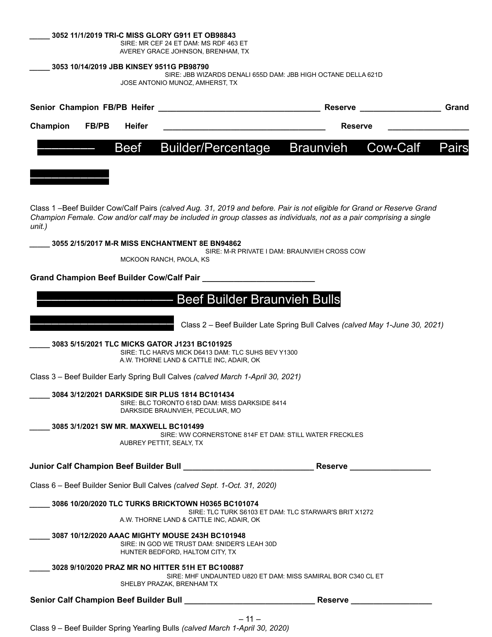|                                            |              |               | 3052 11/1/2019 TRI-C MISS GLORY G911 ET OB98843<br>SIRE: MR CEF 24 ET DAM: MS RDF 463 ET<br>AVEREY GRACE JOHNSON, BRENHAM, TX        |                                                                                                                       |                                                                                                                                                                                                                                               |       |
|--------------------------------------------|--------------|---------------|--------------------------------------------------------------------------------------------------------------------------------------|-----------------------------------------------------------------------------------------------------------------------|-----------------------------------------------------------------------------------------------------------------------------------------------------------------------------------------------------------------------------------------------|-------|
|                                            |              |               | 3053 10/14/2019 JBB KINSEY 9511G PB98790                                                                                             |                                                                                                                       |                                                                                                                                                                                                                                               |       |
|                                            |              |               | JOSE ANTONIO MUNOZ, AMHERST, TX                                                                                                      |                                                                                                                       | SIRE: JBB WIZARDS DENALI 655D DAM: JBB HIGH OCTANE DELLA 621D                                                                                                                                                                                 |       |
|                                            |              |               |                                                                                                                                      |                                                                                                                       | <b>Reserve</b>                                                                                                                                                                                                                                | Grand |
| Champion                                   | <b>FB/PB</b> | <b>Heifer</b> |                                                                                                                                      |                                                                                                                       | <b>Reserve</b>                                                                                                                                                                                                                                |       |
|                                            |              | Beef          | <b>Builder/Percentage</b>                                                                                                            |                                                                                                                       | <b>Braunvieh</b><br>Cow-Calf                                                                                                                                                                                                                  | Pairs |
|                                            |              |               |                                                                                                                                      |                                                                                                                       |                                                                                                                                                                                                                                               |       |
| unit.)                                     |              |               |                                                                                                                                      |                                                                                                                       | Class 1 -Beef Builder Cow/Calf Pairs (calved Aug. 31, 2019 and before. Pair is not eligible for Grand or Reserve Grand<br>Champion Female. Cow and/or calf may be included in group classes as individuals, not as a pair comprising a single |       |
|                                            |              |               | 3055 2/15/2017 M-R MISS ENCHANTMENT 8E BN94862                                                                                       | SIRE: M-R PRIVATE I DAM: BRAUNVIEH CROSS COW                                                                          |                                                                                                                                                                                                                                               |       |
|                                            |              |               | MCKOON RANCH, PAOLA, KS                                                                                                              |                                                                                                                       |                                                                                                                                                                                                                                               |       |
|                                            |              |               | Grand Champion Beef Builder Cow/Calf Pair                                                                                            |                                                                                                                       |                                                                                                                                                                                                                                               |       |
|                                            |              |               |                                                                                                                                      | <b>Beef Builder Braunvieh Bulls</b>                                                                                   |                                                                                                                                                                                                                                               |       |
|                                            |              |               |                                                                                                                                      |                                                                                                                       | Class 2 - Beef Builder Late Spring Bull Calves (calved May 1-June 30, 2021)                                                                                                                                                                   |       |
|                                            |              |               | 3083 5/15/2021 TLC MICKS GATOR J1231 BC101925<br>A.W. THORNE LAND & CATTLE INC, ADAIR, OK                                            | SIRE: TLC HARVS MICK D6413 DAM: TLC SUHS BEV Y1300                                                                    |                                                                                                                                                                                                                                               |       |
|                                            |              |               |                                                                                                                                      | Class 3 - Beef Builder Early Spring Bull Calves (calved March 1-April 30, 2021)                                       |                                                                                                                                                                                                                                               |       |
|                                            |              |               | 3084 3/12/2021 DARKSIDE SIR PLUS 1814 BC101434<br>SIRE: BLC TORONTO 618D DAM: MISS DARKSIDE 8414<br>DARKSIDE BRAUNVIEH, PECULIAR, MO |                                                                                                                       |                                                                                                                                                                                                                                               |       |
|                                            |              |               | 3085 3/1/2021 SW MR. MAXWELL BC101499<br>AUBREY PETTIT, SEALY, TX                                                                    | SIRE: WW CORNERSTONE 814F ET DAM: STILL WATER FRECKLES                                                                |                                                                                                                                                                                                                                               |       |
|                                            |              |               |                                                                                                                                      | Junior Calf Champion Beef Builder Bull <b>State Call</b>                                                              | Reserve __________________                                                                                                                                                                                                                    |       |
|                                            |              |               | Class 6 - Beef Builder Senior Bull Calves (calved Sept. 1-Oct. 31, 2020)                                                             |                                                                                                                       |                                                                                                                                                                                                                                               |       |
|                                            |              |               | 3086 10/20/2020 TLC TURKS BRICKTOWN H0365 BC101074<br>A.W. THORNE LAND & CATTLE INC, ADAIR, OK                                       | SIRE: TLC TURK S6103 ET DAM: TLC STARWAR'S BRIT X1272                                                                 |                                                                                                                                                                                                                                               |       |
|                                            |              |               | 3087 10/12/2020 AAAC MIGHTY MOUSE 243H BC101948<br>SIRE: IN GOD WE TRUST DAM: SNIDER'S LEAH 30D<br>HUNTER BEDFORD, HALTOM CITY, TX   |                                                                                                                       |                                                                                                                                                                                                                                               |       |
|                                            |              |               | 3028 9/10/2020 PRAZ MR NO HITTER 51H ET BC100887<br>SHELBY PRAZAK, BRENHAM TX                                                        |                                                                                                                       | SIRE: MHF UNDAUNTED U820 ET DAM: MISS SAMIRAL BOR C340 CL ET                                                                                                                                                                                  |       |
| Senior Calf Champion Beef Builder Bull ___ |              |               |                                                                                                                                      | <u> 1989 - Johann Barbara, martin din Barbara, martin din Barbara, martin din Barbara, martin din Barbara, martin</u> | Reserve_                                                                                                                                                                                                                                      |       |

– 11 –

Class 9 – Beef Builder Spring Yearling Bulls *(calved March 1-April 30, 2020)*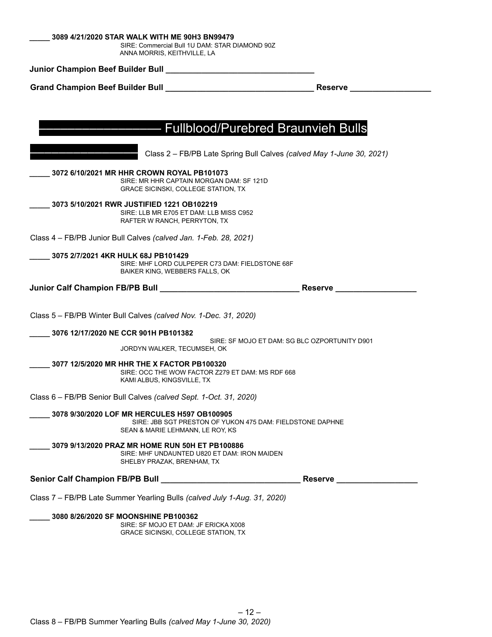| 3089 4/21/2020 STAR WALK WITH ME 90H3 BN99479 |  |  |
|-----------------------------------------------|--|--|
|                                               |  |  |

SIRE: Commercial Bull 1U DAM: STAR DIAMOND 90Z ANNA MORRIS, KEITHVILLE, LA

**Junior Champion Beef Builder Bull \_\_\_\_\_\_\_\_\_\_\_\_\_\_\_\_\_\_\_\_\_\_\_\_\_\_\_\_\_\_\_\_\_**

**Grand Champion Beef Builder Bull \_\_\_\_\_\_\_\_\_\_\_\_\_\_\_\_\_\_\_\_\_\_\_\_\_\_\_\_\_\_\_\_\_ Reserve \_\_\_\_\_\_\_\_\_\_\_\_\_\_\_\_\_\_**

| <b>Fullblood/Purebred Braunvieh Bulls</b>                                                                                                     |               |
|-----------------------------------------------------------------------------------------------------------------------------------------------|---------------|
|                                                                                                                                               |               |
| Class 2 - FB/PB Late Spring Bull Calves (calved May 1-June 30, 2021)                                                                          |               |
| 3072 6/10/2021 MR HHR CROWN ROYAL PB101073<br>SIRE: MR HHR CAPTAIN MORGAN DAM: SF 121D<br><b>GRACE SICINSKI, COLLEGE STATION, TX</b>          |               |
| 3073 5/10/2021 RWR JUSTIFIED 1221 OB102219<br>SIRE: LLB MR E705 ET DAM: LLB MISS C952<br>RAFTER W RANCH, PERRYTON, TX                         |               |
| Class 4 - FB/PB Junior Bull Calves (calved Jan. 1-Feb. 28, 2021)                                                                              |               |
| 3075 2/7/2021 4KR HULK 68J PB101429<br>SIRE: MHF LORD CULPEPER C73 DAM: FIELDSTONE 68F<br>BAIKER KING, WEBBERS FALLS, OK                      |               |
|                                                                                                                                               | Reserve _____ |
|                                                                                                                                               |               |
| Class 5 - FB/PB Winter Bull Calves (calved Nov. 1-Dec. 31, 2020)                                                                              |               |
| 3076 12/17/2020 NE CCR 901H PB101382                                                                                                          |               |
| SIRE: SF MOJO ET DAM: SG BLC OZPORTUNITY D901<br>JORDYN WALKER, TECUMSEH, OK                                                                  |               |
| 3077 12/5/2020 MR HHR THE X FACTOR PB100320<br>SIRE: OCC THE WOW FACTOR Z279 ET DAM: MS RDF 668<br>KAMI ALBUS, KINGSVILLE, TX                 |               |
| Class 6 - FB/PB Senior Bull Calves (calved Sept. 1-Oct. 31, 2020)                                                                             |               |
| 3078 9/30/2020 LOF MR HERCULES H597 OB100905<br>SIRE: JBB SGT PRESTON OF YUKON 475 DAM: FIELDSTONE DAPHNE<br>SEAN & MARIE LEHMANN, LE ROY, KS |               |
| 3079 9/13/2020 PRAZ MR HOME RUN 50H ET PB100886<br>SIRE: MHF UNDAUNTED U820 ET DAM: IRON MAIDEN<br>SHELBY PRAZAK, BRENHAM, TX                 |               |
|                                                                                                                                               |               |
| Class 7 - FB/PB Late Summer Yearling Bulls (calved July 1-Aug. 31, 2020)                                                                      |               |
| 3080 8/26/2020 SF MOONSHINE PB100362<br>SIRE: SF MOJO ET DAM: JF ERICKA X008<br>GRACE SICINSKI, COLLEGE STATION, TX                           |               |